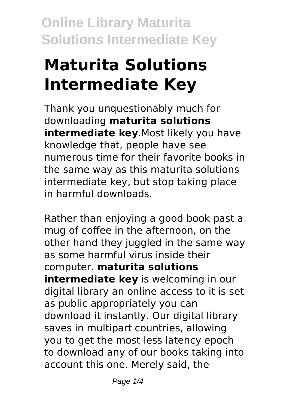# **Maturita Solutions Intermediate Key**

Thank you unquestionably much for downloading **maturita solutions intermediate key**.Most likely you have knowledge that, people have see numerous time for their favorite books in the same way as this maturita solutions intermediate key, but stop taking place in harmful downloads.

Rather than enjoying a good book past a mug of coffee in the afternoon, on the other hand they juggled in the same way as some harmful virus inside their computer. **maturita solutions intermediate key** is welcoming in our digital library an online access to it is set as public appropriately you can download it instantly. Our digital library saves in multipart countries, allowing you to get the most less latency epoch to download any of our books taking into account this one. Merely said, the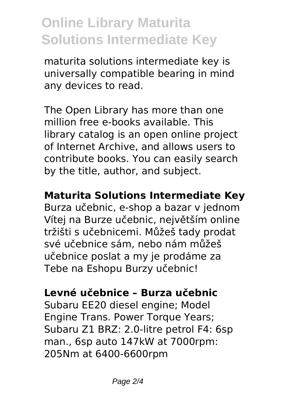maturita solutions intermediate key is universally compatible bearing in mind any devices to read.

The Open Library has more than one million free e-books available. This library catalog is an open online project of Internet Archive, and allows users to contribute books. You can easily search by the title, author, and subject.

### **Maturita Solutions Intermediate Key**

Burza učebnic, e-shop a bazar v jednom Vítej na Burze učebnic, největším online tržišti s učebnicemi. Můžeš tady prodat své učebnice sám, nebo nám můžeš učebnice poslat a my je prodáme za Tebe na Eshopu Burzy učebnic!

#### **Levné učebnice – Burza učebnic**

Subaru EE20 diesel engine; Model Engine Trans. Power Torque Years; Subaru Z1 BRZ: 2.0-litre petrol F4: 6sp man., 6sp auto 147kW at 7000rpm: 205Nm at 6400-6600rpm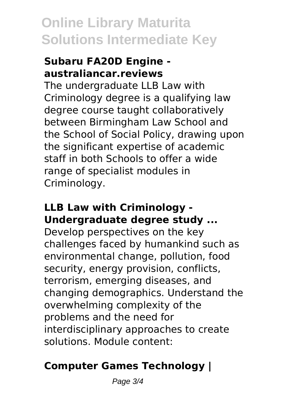#### **Subaru FA20D Engine australiancar.reviews**

The undergraduate LLB Law with Criminology degree is a qualifying law degree course taught collaboratively between Birmingham Law School and the School of Social Policy, drawing upon the significant expertise of academic staff in both Schools to offer a wide range of specialist modules in Criminology.

### **LLB Law with Criminology - Undergraduate degree study ...**

Develop perspectives on the key challenges faced by humankind such as environmental change, pollution, food security, energy provision, conflicts, terrorism, emerging diseases, and changing demographics. Understand the overwhelming complexity of the problems and the need for interdisciplinary approaches to create solutions. Module content:

## **Computer Games Technology |**

Page 3/4